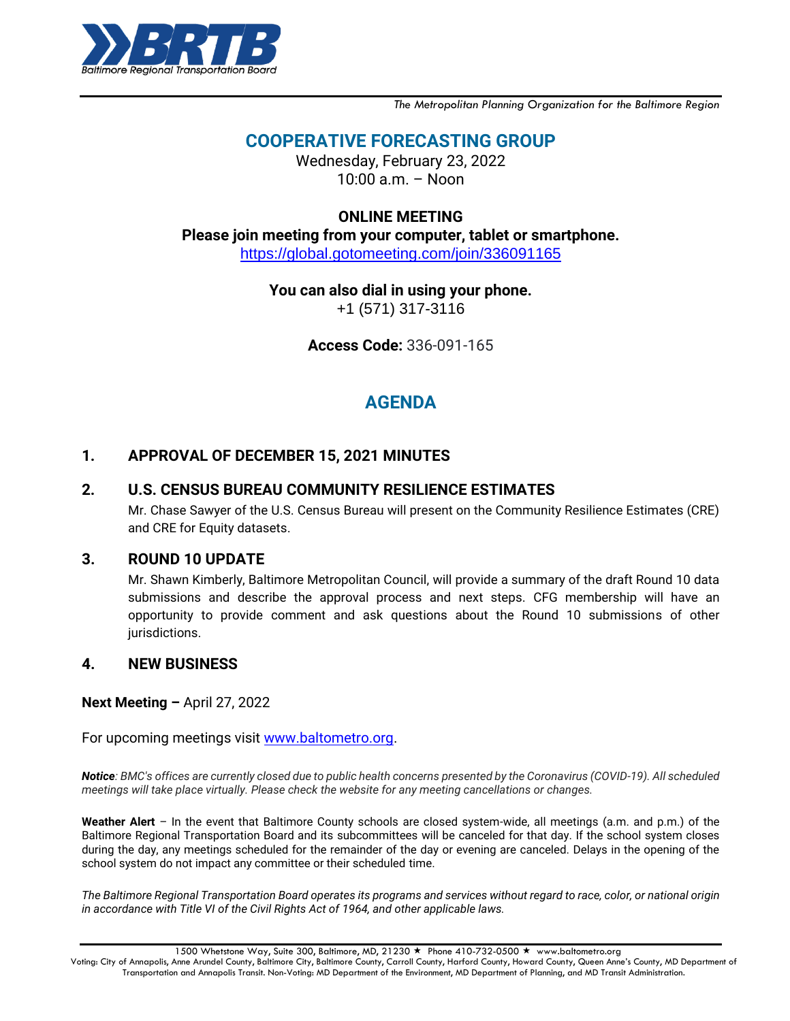

*The Metropolitan Planning Organization for the Baltimore Region*

# **COOPERATIVE FORECASTING GROUP**

Wednesday, February 23, 2022  $10:00$  a.m. – Noon

## **ONLINE MEETING**

**Please join meeting from your computer, tablet or smartphone.** <https://global.gotomeeting.com/join/336091165>

**You can also dial in using your phone.**

+1 (571) 317-3116

**Access Code:** 336-091-165

## **AGENDA**

## **1. APPROVAL OF DECEMBER 15, 2021 MINUTES**

### **2. U.S. CENSUS BUREAU COMMUNITY RESILIENCE ESTIMATES**

Mr. Chase Sawyer of the U.S. Census Bureau will present on the Community Resilience Estimates (CRE) and CRE for Equity datasets.

#### **3. ROUND 10 UPDATE**

Mr. Shawn Kimberly, Baltimore Metropolitan Council, will provide a summary of the draft Round 10 data submissions and describe the approval process and next steps. CFG membership will have an opportunity to provide comment and ask questions about the Round 10 submissions of other jurisdictions.

#### **4. NEW BUSINESS**

**Next Meeting –** April 27, 2022

For upcoming meetings visit [www.baltometro.org.](http://www.baltometro.org/)

*Notice: BMC's offices are currently closed due to public health concerns presented by the Coronavirus (COVID-19). All scheduled meetings will take place virtually. Please check the website for any meeting cancellations or changes.*

**Weather Alert** – In the event that Baltimore County schools are closed system-wide, all meetings (a.m. and p.m.) of the Baltimore Regional Transportation Board and its subcommittees will be canceled for that day. If the school system closes during the day, any meetings scheduled for the remainder of the day or evening are canceled. Delays in the opening of the school system do not impact any committee or their scheduled time.

*The Baltimore Regional Transportation Board operates its programs and services without regard to race, color, or national origin in accordance with Title VI of the Civil Rights Act of 1964, and other applicable laws.*

1500 Whetstone Way, Suite 300, Baltimore, MD, 21230 ★ Phone 410-732-0500 ★ www.baltometro.org Voting: City of Annapolis, Anne Arundel County, Baltimore City, Baltimore County, Carroll County, Harford County, Howard County, Queen Anne's County, MD Department of Transportation and Annapolis Transit. Non-Voting: MD Department of the Environment, MD Department of Planning, and MD Transit Administration.